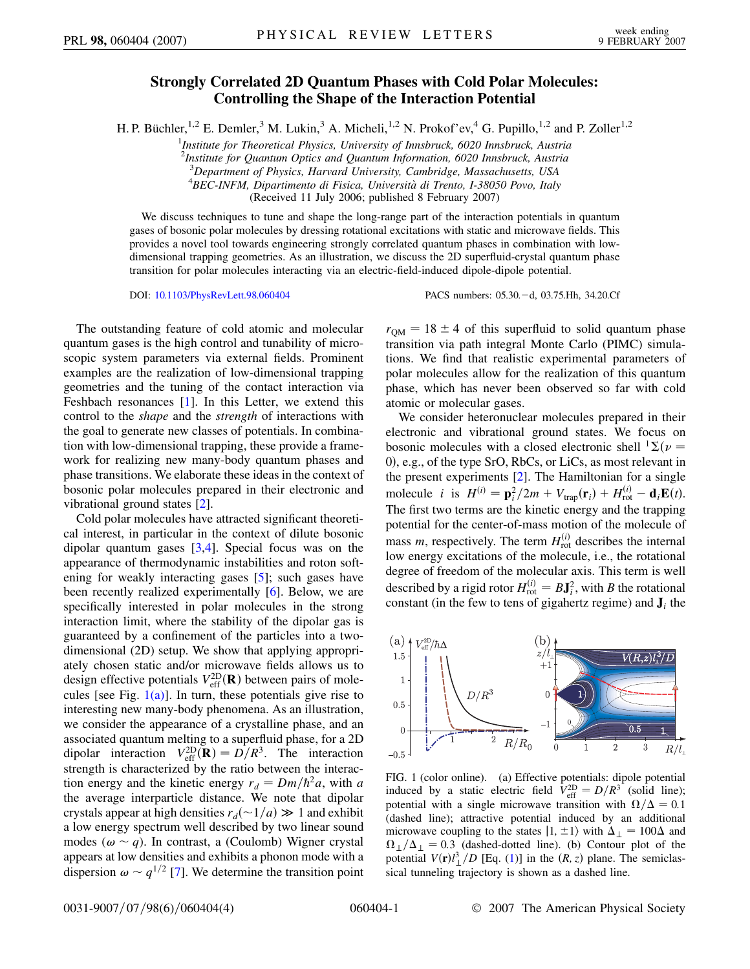## **Strongly Correlated 2D Quantum Phases with Cold Polar Molecules: Controlling the Shape of the Interaction Potential**

H. P. Büchler,<sup>1,2</sup> E. Demler,<sup>3</sup> M. Lukin,<sup>3</sup> A. Micheli,<sup>1,2</sup> N. Prokof'ev,<sup>4</sup> G. Pupillo,<sup>1,2</sup> and P. Zoller<sup>1,2</sup>

1 *Institute for Theoretical Physics, University of Innsbruck, 6020 Innsbruck, Austria*

2 *Institute for Quantum Optics and Quantum Information, 6020 Innsbruck, Austria*

3 *Department of Physics, Harvard University, Cambridge, Massachusetts, USA*

4 *BEC-INFM, Dipartimento di Fisica, Universita` di Trento, I-38050 Povo, Italy*

(Received 11 July 2006; published 8 February 2007)

We discuss techniques to tune and shape the long-range part of the interaction potentials in quantum gases of bosonic polar molecules by dressing rotational excitations with static and microwave fields. This provides a novel tool towards engineering strongly correlated quantum phases in combination with lowdimensional trapping geometries. As an illustration, we discuss the 2D superfluid-crystal quantum phase transition for polar molecules interacting via an electric-field-induced dipole-dipole potential.

DOI: [10.1103/PhysRevLett.98.060404](http://dx.doi.org/10.1103/PhysRevLett.98.060404) PACS numbers: 05.30.d, 03.75.Hh, 34.20.Cf

The outstanding feature of cold atomic and molecular quantum gases is the high control and tunability of microscopic system parameters via external fields. Prominent examples are the realization of low-dimensional trapping geometries and the tuning of the contact interaction via Feshbach resonances [\[1\]](#page-3-0). In this Letter, we extend this control to the *shape* and the *strength* of interactions with the goal to generate new classes of potentials. In combination with low-dimensional trapping, these provide a framework for realizing new many-body quantum phases and phase transitions. We elaborate these ideas in the context of bosonic polar molecules prepared in their electronic and vibrational ground states [[2](#page-3-1)].

Cold polar molecules have attracted significant theoretical interest, in particular in the context of dilute bosonic dipolar quantum gases [[3](#page-3-2)[,4\]](#page-3-3). Special focus was on the appearance of thermodynamic instabilities and roton softening for weakly interacting gases [[5\]](#page-3-4); such gases have been recently realized experimentally [\[6\]](#page-3-5). Below, we are specifically interested in polar molecules in the strong interaction limit, where the stability of the dipolar gas is guaranteed by a confinement of the particles into a twodimensional (2D) setup. We show that applying appropriately chosen static and/or microwave fields allows us to design effective potentials  $V_{\text{eff}}^{\text{2D}}(\mathbf{R})$  between pairs of molecules [see Fig.  $1(a)$ ]. In turn, these potentials give rise to interesting new many-body phenomena. As an illustration, we consider the appearance of a crystalline phase, and an associated quantum melting to a superfluid phase, for a 2D dipolar interaction  $V_{\text{eff}}^{2D}(\mathbf{R}) = D/R^3$ . The interaction strength is characterized by the ratio between the interaction energy and the kinetic energy  $r_d = Dm/\hbar^2 a$ , with *a* the average interparticle distance. We note that dipolar crystals appear at high densities  $r_d(\sim 1/a) \gg 1$  and exhibit a low energy spectrum well described by two linear sound modes ( $\omega \sim q$ ). In contrast, a (Coulomb) Wigner crystal appears at low densities and exhibits a phonon mode with a dispersion  $\omega \sim q^{1/2}$  [\[7\]](#page-3-6). We determine the transition point  $r<sub>OM</sub> = 18 \pm 4$  of this superfluid to solid quantum phase transition via path integral Monte Carlo (PIMC) simulations. We find that realistic experimental parameters of polar molecules allow for the realization of this quantum phase, which has never been observed so far with cold atomic or molecular gases.

We consider heteronuclear molecules prepared in their electronic and vibrational ground states. We focus on bosonic molecules with a closed electronic shell  ${}^{1}\Sigma(\nu =$ 0, e.g., of the type SrO, RbCs, or LiCs, as most relevant in the present experiments [\[2](#page-3-1)]. The Hamiltonian for a single molecule *i* is  $H^{(i)} = \frac{\mathbf{p}_i^2}{2m} + V_{trap}(\mathbf{r}_i) + H_{rot}^{(i)} - \mathbf{d}_i \mathbf{E}(t)$ . The first two terms are the kinetic energy and the trapping potential for the center-of-mass motion of the molecule of mass *m*, respectively. The term  $H_{\text{rot}}^{(i)}$  describes the internal low energy excitations of the molecule, i.e., the rotational degree of freedom of the molecular axis. This term is well described by a rigid rotor  $H_{\text{rot}}^{(i)} = B\mathbf{J}_i^2$ , with *B* the rotational constant (in the few to tens of gigahertz regime) and  $J_i$  the

<span id="page-0-1"></span>

<span id="page-0-0"></span>FIG. 1 (color online). (a) Effective potentials: dipole potential induced by a static electric field  $V_{\text{eff}}^{\text{2D}} = D/R^3$  (solid line); potential with a single microwave transition with  $\Omega/\Delta = 0.1$ (dashed line); attractive potential induced by an additional microwave coupling to the states  $|1, \pm 1\rangle$  with  $\Delta_{\perp} = 100\Delta$  and  $\Omega_{\perp}/\Delta_{\perp} = 0.3$  (dashed-dotted line). (b) Contour plot of the potential  $V(\mathbf{r})l_{\perp}^{3}/D$  [Eq. ([1](#page-1-0))] in the  $(R, z)$  plane. The semiclassical tunneling trajectory is shown as a dashed line.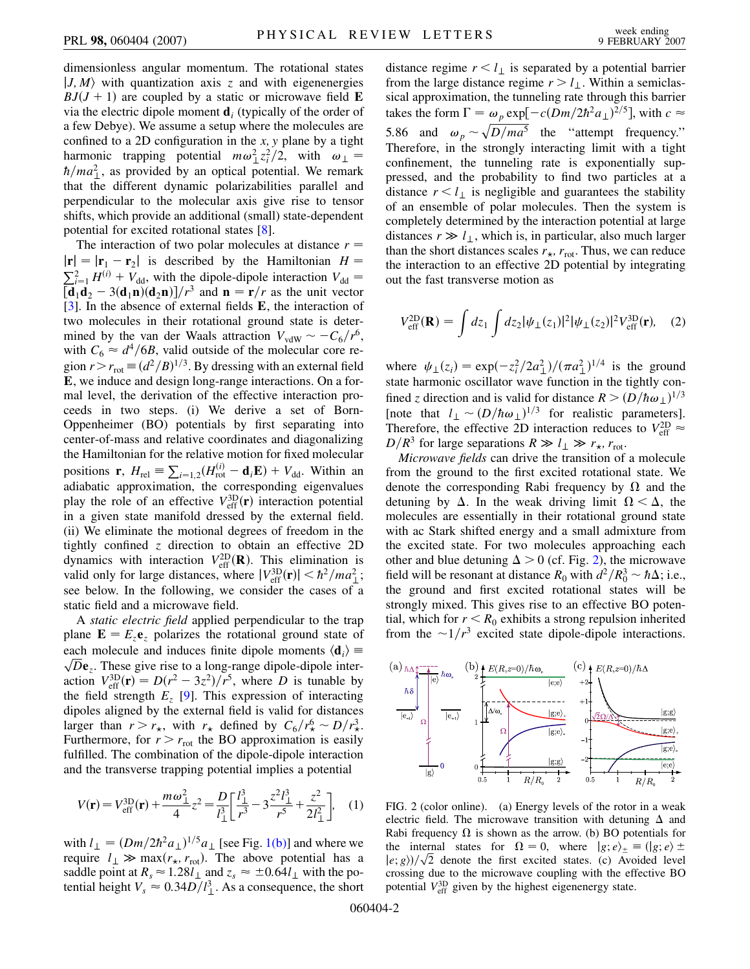dimensionless angular momentum. The rotational states  $|J, M\rangle$  with quantization axis *z* and with eigenenergies  $BJ(J + 1)$  are coupled by a static or microwave field **E** via the electric dipole moment **d***<sup>i</sup>* (typically of the order of a few Debye). We assume a setup where the molecules are confined to a 2D configuration in the *x; y* plane by a tight harmonic trapping potential  $m\omega_{\perp}^2 z_i^2/2$ , with  $\omega_{\perp} =$  $\hbar/ma_{\perp}^2$ , as provided by an optical potential. We remark that the different dynamic polarizabilities parallel and perpendicular to the molecular axis give rise to tensor shifts, which provide an additional (small) state-dependent potential for excited rotational states [\[8\]](#page-3-7).

The interaction of two polar molecules at distance  $r =$  $|\mathbf{r}| = |\mathbf{r}_1 - \mathbf{r}_2|$  is described by the Hamiltonian  $H =$  $V_{dd} = V_{dd} + V_{dd}$ , with the dipole-dipole interaction  $V_{dd} =$  $\left[\mathbf{d}_1 \mathbf{d}_2 - 3(\mathbf{d}_1 \mathbf{n})(\mathbf{d}_2 \mathbf{n})\right] / r^3$  and  $\mathbf{n} = \mathbf{r}/r$  as the unit vector [\[3\]](#page-3-2). In the absence of external fields **E**, the interaction of two molecules in their rotational ground state is determined by the van der Waals attraction  $V_{vdW} \sim -C_6/r^6$ , with  $C_6 \approx d^4/6B$ , valid outside of the molecular core region  $r > r_{\text{rot}} \equiv (d^2/B)^{1/3}$ . By dressing with an external field **E**, we induce and design long-range interactions. On a formal level, the derivation of the effective interaction proceeds in two steps. (i) We derive a set of Born-Oppenheimer (BO) potentials by first separating into center-of-mass and relative coordinates and diagonalizing the Hamiltonian for the relative motion for fixed molecular positions **r**,  $H_{rel} \equiv \sum_{i=1,2} (H_{rot}^{(i)} - \mathbf{d}_i \mathbf{E}) + V_{dd}$ . Within an adiabatic approximation, the corresponding eigenvalues play the role of an effective  $V_{\text{eff}}^{\text{3D}}(\mathbf{r})$  interaction potential in a given state manifold dressed by the external field. (ii) We eliminate the motional degrees of freedom in the tightly confined *z* direction to obtain an effective 2D dynamics with interaction  $V_{\text{eff}}^{2D}(\mathbf{R})$ . This elimination is valid only for large distances, where  $|V_{\text{eff}}^{\text{3D}}(\mathbf{r})| < \hbar^2/ma_{\perp}^2$ ; see below. In the following, we consider the cases of a static field and a microwave field.

A *static electric field* applied perpendicular to the trap plane  $\mathbf{E} = E_z \mathbf{e}_z$  polarizes the rotational ground state of each molecule and induces finite dipole moments  $\langle \mathbf{d}_i \rangle$  = each molecule and molecules in the dipole moments  $\langle \mathbf{d}_i \rangle = \sqrt{D} \mathbf{e}_z$ . These give rise to a long-range dipole-dipole interaction  $V_{\text{eff}}^{3D}(\mathbf{r}) = D(r^2 - 3z^2)/r^5$ , where *D* is tunable by the field strength  $E<sub>z</sub>$  [\[9](#page-3-8)]. This expression of interacting dipoles aligned by the external field is valid for distances larger than  $r > r_{\star}$ , with  $r_{\star}$  defined by  $C_6/r_{\star}^6 \sim D/r_{\star}^3$ . Furthermore, for  $r > r_{\text{rot}}$  the BO approximation is easily fulfilled. The combination of the dipole-dipole interaction and the transverse trapping potential implies a potential

<span id="page-1-0"></span>
$$
V(\mathbf{r}) = V_{\text{eff}}^{3D}(\mathbf{r}) + \frac{m\omega_{\perp}^2}{4}z^2 = \frac{D}{l_{\perp}^3} \left[ \frac{l_{\perp}^3}{r^3} - 3\frac{z^2 l_{\perp}^3}{r^5} + \frac{z^2}{2l_{\perp}^2} \right], \quad (1)
$$

with  $l_{\perp} = (Dm/2\hbar^2 a_{\perp})^{1/5} a_{\perp}$  [see Fig. [1\(b\)](#page-0-0)] and where we require  $l_{\perp} \gg \max(r_{\star}, r_{\rm rot})$ . The above potential has a saddle point at  $R_s \approx 1.28l_\perp$  and  $z_s \approx \pm 0.64l_\perp$  with the potential height  $V_s \approx 0.34D/l_{\perp}^3$ . As a consequence, the short distance regime  $r < l_{\perp}$  is separated by a potential barrier from the large distance regime  $r > l_1$ . Within a semiclassical approximation, the tunneling rate through this barrier takes the form  $\Gamma = \omega_p \exp[-c(Dm/2\hbar^2 a_\perp)^{2/5}]$ , with  $c \approx$ 5.86 and  $\omega_p \sim \sqrt{D/ma^5}$  the "attempt frequency." Therefore, in the strongly interacting limit with a tight confinement, the tunneling rate is exponentially suppressed, and the probability to find two particles at a distance  $r < l_1$  is negligible and guarantees the stability of an ensemble of polar molecules. Then the system is completely determined by the interaction potential at large distances  $r \gg l_{\perp}$ , which is, in particular, also much larger than the short distances scales  $r_{\star}$ ,  $r_{\text{rot}}$ . Thus, we can reduce the interaction to an effective 2D potential by integrating out the fast transverse motion as

$$
V_{\rm eff}^{\rm 2D}(\mathbf{R}) = \int dz_1 \int dz_2 |\psi_{\perp}(z_1)|^2 |\psi_{\perp}(z_2)|^2 V_{\rm eff}^{\rm 3D}(\mathbf{r}), \quad (2)
$$

where  $\psi_{\perp}(z_i) = \exp(-z_i^2/2a_{\perp}^2)/(\pi a_{\perp}^2)^{1/4}$  is the ground state harmonic oscillator wave function in the tightly confined *z* direction and is valid for distance  $R > (D/\hbar \omega)$ <sup>1/3</sup> [note that  $l_{\perp} \sim (D/\hbar \omega_{\perp})^{1/3}$  for realistic parameters]. Therefore, the effective 2D interaction reduces to  $V_{\text{eff}}^{\text{2D}} \approx$  $D/R^3$  for large separations  $R \gg l_{\perp} \gg r_{\star}$ ,  $r_{\rm rot}$ .

*Microwave fields* can drive the transition of a molecule from the ground to the first excited rotational state. We denote the corresponding Rabi frequency by  $\Omega$  and the detuning by  $\Delta$ . In the weak driving limit  $\Omega < \Delta$ , the molecules are essentially in their rotational ground state with ac Stark shifted energy and a small admixture from the excited state. For two molecules approaching each other and blue detuning  $\Delta > 0$  (cf. Fig. [2](#page-1-1)), the microwave field will be resonant at distance  $R_0$  with  $d^2/R_0^3 \sim \hbar \Delta$ ; i.e., the ground and first excited rotational states will be strongly mixed. This gives rise to an effective BO potential, which for  $r < R_0$  exhibits a strong repulsion inherited from the  $\sim 1/r^3$  excited state dipole-dipole interactions.

<span id="page-1-1"></span>

<span id="page-1-2"></span>FIG. 2 (color online). (a) Energy levels of the rotor in a weak electric field. The microwave transition with detuning  $\Delta$  and Rabi frequency  $\Omega$  is shown as the arrow. (b) BO potentials for the internal states for  $\Omega = 0$ , where  $|g; e\rangle_{\pm} \equiv (|g; e \rangle \pm \frac{1}{2}$ the internal states for  $\Omega = 0$ , where  $|g; e\rangle_{\pm} \equiv (|g; e\rangle \pm |e; g\rangle)/\sqrt{2}$  denote the first excited states. (c) Avoided level crossing due to the microwave coupling with the effective BO potential  $V_{\text{eff}}^{3D}$  given by the highest eigenenergy state.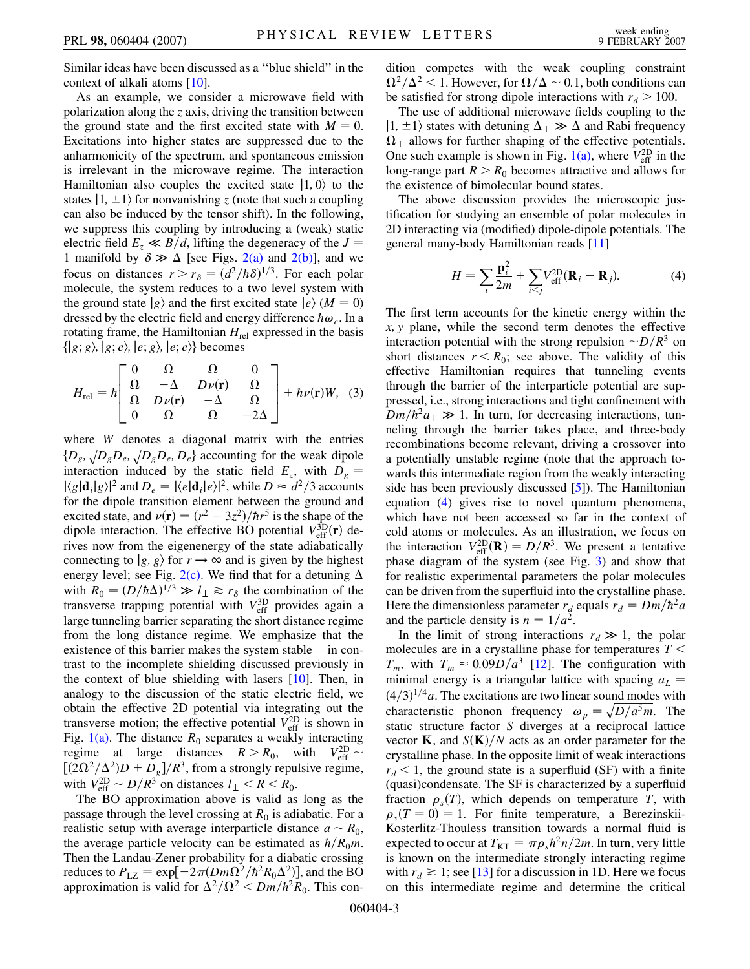Similar ideas have been discussed as a ''blue shield'' in the context of alkali atoms [[10\]](#page-3-9).

As an example, we consider a microwave field with polarization along the *z* axis, driving the transition between the ground state and the first excited state with  $M = 0$ . Excitations into higher states are suppressed due to the anharmonicity of the spectrum, and spontaneous emission is irrelevant in the microwave regime. The interaction Hamiltonian also couples the excited state  $|1, 0\rangle$  to the states  $|1, \pm 1\rangle$  for nonvanishing *z* (note that such a coupling can also be induced by the tensor shift). In the following, we suppress this coupling by introducing a (weak) static electric field  $E_z \ll B/d$ , lifting the degeneracy of the  $J =$ 1 manifold by  $\delta \gg \Delta$  [see Figs. [2\(a\)](#page-1-2) and [2\(b\)\]](#page-1-2), and we focus on distances  $r > r_\delta = (d^2/\hbar \delta)^{1/3}$ . For each polar molecule, the system reduces to a two level system with the ground state  $|g\rangle$  and the first excited state  $|e\rangle$  (*M* = 0) dressed by the electric field and energy difference  $\hbar \omega_e$ . In a rotating frame, the Hamiltonian  $H_{rel}$  expressed in the basis  $\{ |g; g\rangle, |g; e\rangle, |e; g\rangle, |e; e\rangle\}$  becomes

$$
H_{\text{rel}} = \hbar \begin{bmatrix} 0 & \Omega & \Omega & 0 \\ \Omega & -\Delta & D\nu(\mathbf{r}) & \Omega \\ \Omega & D\nu(\mathbf{r}) & -\Delta & \Omega \\ 0 & \Omega & \Omega & -2\Delta \end{bmatrix} + \hbar \nu(\mathbf{r}) W, (3)
$$

where *W* denotes a diagonal matrix with the entries  $\{D_g, \sqrt{D_g D_e}, \sqrt{D_g D_e}, D_e\}$  accounting for the weak dipole interaction induced by the static field  $E_z$ , with  $D_g =$  $|\langle g|\mathbf{d}_i|g\rangle|^2$  and  $D_e = |\langle e|\mathbf{d}_i|e\rangle|^2$ , while  $D \approx d^2/3$  accounts for the dipole transition element between the ground and excited state, and  $\nu(\mathbf{r}) = (r^2 - 3z^2)/\hbar r^5$  is the shape of the dipole interaction. The effective BO potential  $V_{\text{eff}}^{3D}(\mathbf{r})$  derives now from the eigenenergy of the state adiabatically connecting to  $|g, g\rangle$  for  $r \rightarrow \infty$  and is given by the highest energy level; see Fig. [2\(c\).](#page-1-2) We find that for a detuning  $\Delta$ with  $R_0 = (D/\hbar\Delta)^{1/3} \gg l_\perp \gtrsim r_\delta$  the combination of the transverse trapping potential with  $V_{\text{eff}}^{3D}$  provides again a large tunneling barrier separating the short distance regime from the long distance regime. We emphasize that the existence of this barrier makes the system stable—in contrast to the incomplete shielding discussed previously in the context of blue shielding with lasers [[10](#page-3-9)]. Then, in analogy to the discussion of the static electric field, we obtain the effective 2D potential via integrating out the transverse motion; the effective potential  $V_{\text{eff}}^{\text{2D}}$  is shown in Fig. [1\(a\)](#page-0-0). The distance  $R_0$  separates a weakly interacting regime at large distances  $R > R_0$ , with  $V_{\text{eff}}^{\text{2D}} \sim$  $[(2\Omega^2/\Delta^2)D + D_g]/R^3$ , from a strongly repulsive regime, with  $V_{\text{eff}}^{\text{2D}} \sim D/R^3$  on distances  $l_{\perp} < R < R_0$ .

The BO approximation above is valid as long as the passage through the level crossing at  $R_0$  is adiabatic. For a realistic setup with average interparticle distance  $a \sim R_0$ , the average particle velocity can be estimated as  $\hbar/R_0m$ . Then the Landau-Zener probability for a diabatic crossing reduces to  $P_{\text{LZ}} = \exp[-2\pi(Dm\Omega^2/\hbar^2 R_0\Delta^2)]$ , and the BO approximation is valid for  $\Delta^2/\Omega^2 < Dm/\hbar^2 R_0$ . This condition competes with the weak coupling constraint  $\Omega^2/\Delta^2$  < 1. However, for  $\Omega/\Delta \sim 0.1$ , both conditions can be satisfied for strong dipole interactions with  $r_d > 100$ .

The use of additional microwave fields coupling to the  $|1, \pm 1\rangle$  states with detuning  $\Delta_{\perp} \gg \Delta$  and Rabi frequency  $\Omega_{\perp}$  allows for further shaping of the effective potentials. One such example is shown in Fig.  $1(a)$ , where  $V_{\text{eff}}^{2D}$  in the long-range part  $R > R_0$  becomes attractive and allows for the existence of bimolecular bound states.

The above discussion provides the microscopic justification for studying an ensemble of polar molecules in 2D interacting via (modified) dipole-dipole potentials. The general many-body Hamiltonian reads [[11](#page-3-10)]

$$
H = \sum_{i} \frac{\mathbf{p}_i^2}{2m} + \sum_{i < j} V_{\text{eff}}^{\text{2D}} (\mathbf{R}_i - \mathbf{R}_j). \tag{4}
$$

The first term accounts for the kinetic energy within the *x; y* plane, while the second term denotes the effective interaction potential with the strong repulsion  $-D/R^3$  on short distances  $r < R_0$ ; see above. The validity of this effective Hamiltonian requires that tunneling events through the barrier of the interparticle potential are suppressed, i.e., strong interactions and tight confinement with  $Dm/\hbar^2 a_{\perp} \gg 1$ . In turn, for decreasing interactions, tunneling through the barrier takes place, and three-body recombinations become relevant, driving a crossover into a potentially unstable regime (note that the approach towards this intermediate region from the weakly interacting side has been previously discussed [[5\]](#page-3-4)). The Hamiltonian equation [\(4\)](#page-0-1) gives rise to novel quantum phenomena, which have not been accessed so far in the context of cold atoms or molecules. As an illustration, we focus on the interaction  $V_{\text{eff}}^{\text{2D}}(\mathbf{R}) = D/R^3$ . We present a tentative phase diagram of the system (see Fig. [3](#page-3-11)) and show that for realistic experimental parameters the polar molecules can be driven from the superfluid into the crystalline phase. Here the dimensionless parameter  $r_d$  equals  $r_d = Dm/\hbar^2 a$ and the particle density is  $n = 1/a^2$ .

In the limit of strong interactions  $r_d \gg 1$ , the polar molecules are in a crystalline phase for temperatures *T <*  $T_m$ , with  $T_m \approx 0.09D/a^3$  [\[12\]](#page-3-12). The configuration with minimal energy is a triangular lattice with spacing  $a<sub>L</sub>$  =  $(4/3)^{1/4}a$ . The excitations are two linear sound modes with characteristic phonon frequency  $\omega_p = \sqrt{D/a^5 m}$ . The static structure factor *S* diverges at a reciprocal lattice vector **K**, and  $S(K)/N$  acts as an order parameter for the crystalline phase. In the opposite limit of weak interactions  $r_d$  < 1, the ground state is a superfluid (SF) with a finite (quasi)condensate. The SF is characterized by a superfluid fraction  $\rho_s(T)$ , which depends on temperature *T*, with  $\rho_s(T=0) = 1$ . For finite temperature, a Berezinskii-Kosterlitz-Thouless transition towards a normal fluid is expected to occur at  $T_{\text{KT}} = \pi \rho_s \hbar^2 n/2m$ . In turn, very little is known on the intermediate strongly interacting regime with  $r_d \ge 1$ ; see [\[13\]](#page-3-13) for a discussion in 1D. Here we focus on this intermediate regime and determine the critical